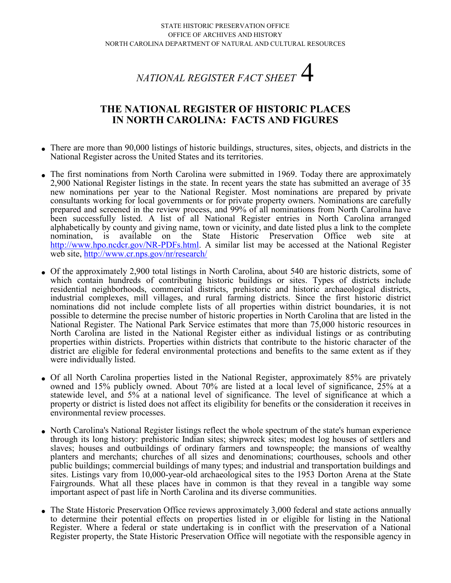## *NATIONAL REGISTER FACT SHEET* 4

## **THE NATIONAL REGISTER OF HISTORIC PLACES IN NORTH CAROLINA: FACTS AND FIGURES**

- . There are more than 90,000 listings of historic buildings, structures, sites, objects, and districts in the National Register across the United States and its territories.
- . The first nominations from North Carolina were submitted in 1969. Today there are approximately 2,900 National Register listings in the state. In recent years the state has submitted an average of 35 new nominations per year to the National Register. Most nominations are prepared by private consultants working for local governments or for private property owners. Nominations are carefully prepared and screened in the review process, and 99% of all nominations from North Carolina have been successfully listed. A list of all National Register entries in North Carolina arranged alphabetically by county and giving name, town or vicinity, and date listed plus a link to the complete nomination, is available on the State Historic Preservation Office web site at [http://www.hpo.ncdcr.gov/NR-PDFs.html.](http://www.hpo.ncdcr.gov/NR-PDFs.html) A similar list may be accessed at the National Register web site,<http://www.cr.nps.gov/nr/research/>
- . Of the approximately 2,900 total listings in North Carolina, about 540 are historic districts, some of which contain hundreds of contributing historic buildings or sites. Types of districts include residential neighborhoods, commercial districts, prehistoric and historic archaeological districts, industrial complexes, mill villages, and rural farming districts. Since the first historic district nominations did not include complete lists of all properties within district boundaries, it is not possible to determine the precise number of historic properties in North Carolina that are listed in the National Register. The National Park Service estimates that more than 75,000 historic resources in North Carolina are listed in the National Register either as individual listings or as contributing properties within districts. Properties within districts that contribute to the historic character of the district are eligible for federal environmental protections and benefits to the same extent as if they were individually listed.
- . Of all North Carolina properties listed in the National Register, approximately 85% are privately owned and 15% publicly owned. About 70% are listed at a local level of significance, 25% at a statewide level, and 5% at a national level of significance. The level of significance at which a property or district is listed does not affect its eligibility for benefits or the consideration it receives in environmental review processes.
- . North Carolina's National Register listings reflect the whole spectrum of the state's human experience through its long history: prehistoric Indian sites; shipwreck sites; modest log houses of settlers and slaves; houses and outbuildings of ordinary farmers and townspeople; the mansions of wealthy planters and merchants; churches of all sizes and denominations; courthouses, schools and other public buildings; commercial buildings of many types; and industrial and transportation buildings and sites. Listings vary from 10,000-year-old archaeological sites to the 1953 Dorton Arena at the State Fairgrounds. What all these places have in common is that they reveal in a tangible way some important aspect of past life in North Carolina and its diverse communities.
- . The State Historic Preservation Office reviews approximately 3,000 federal and state actions annually to determine their potential effects on properties listed in or eligible for listing in the National Register. Where a federal or state undertaking is in conflict with the preservation of a National Register property, the State Historic Preservation Office will negotiate with the responsible agency in